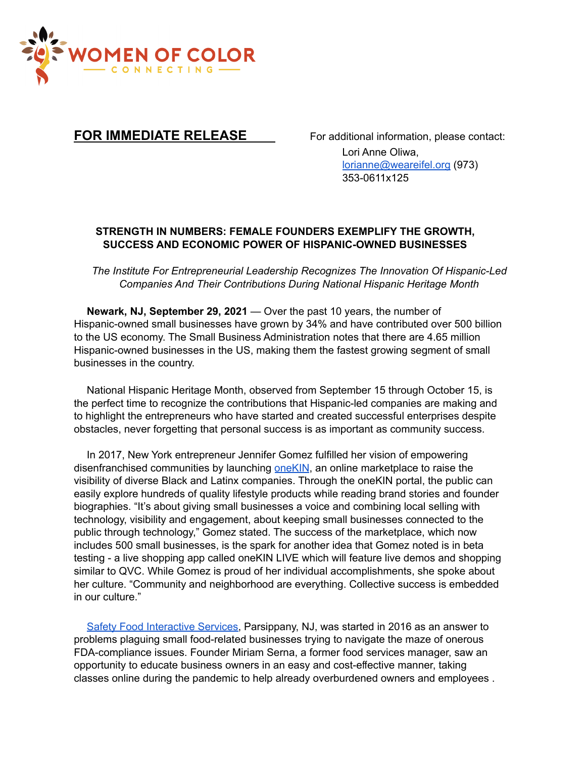

## **FOR IMMEDIATE RELEASE** For additional information, please contact:

Lori Anne Oliwa, lorianne@weareifel.org (973) 353-0611x125

## **STRENGTH IN NUMBERS: FEMALE FOUNDERS EXEMPLIFY THE GROWTH, SUCCESS AND ECONOMIC POWER OF HISPANIC-OWNED BUSINESSES**

*The Institute For Entrepreneurial Leadership Recognizes The Innovation Of Hispanic-Led Companies And Their Contributions During National Hispanic Heritage Month*

**Newark, NJ, September 29, 2021** — Over the past 10 years, the number of Hispanic-owned small businesses have grown by 34% and have contributed over 500 billion to the US economy. The Small Business Administration notes that there are 4.65 million Hispanic-owned businesses in the US, making them the fastest growing segment of small businesses in the country.

National Hispanic Heritage Month, observed from September 15 through October 15, is the perfect time to recognize the contributions that Hispanic-led companies are making and to highlight the entrepreneurs who have started and created successful enterprises despite obstacles, never forgetting that personal success is as important as community success.

In 2017, New York entrepreneur Jennifer Gomez fulfilled her vision of empowering disenfranchised communities by launching one KIN, an online marketplace to raise the visibility of diverse Black and Latinx companies. Through the oneKIN portal, the public can easily explore hundreds of quality lifestyle products while reading brand stories and founder biographies. "It's about giving small businesses a voice and combining local selling with technology, visibility and engagement, about keeping small businesses connected to the public through technology," Gomez stated. The success of the marketplace, which now includes 500 small businesses, is the spark for another idea that Gomez noted is in beta testing - a live shopping app called oneKIN LIVE which will feature live demos and shopping similar to QVC. While Gomez is proud of her individual accomplishments, she spoke about her culture. "Community and neighborhood are everything. Collective success is embedded in our culture."

Safety Food [Interactive](https://sfi-services.com/) Services, Parsippany, NJ, was started in 2016 as an answer to problems plaguing small food-related businesses trying to navigate the maze of onerous FDA-compliance issues. Founder Miriam Serna, a former food services manager, saw an opportunity to educate business owners in an easy and cost-effective manner, taking classes online during the pandemic to help already overburdened owners and employees .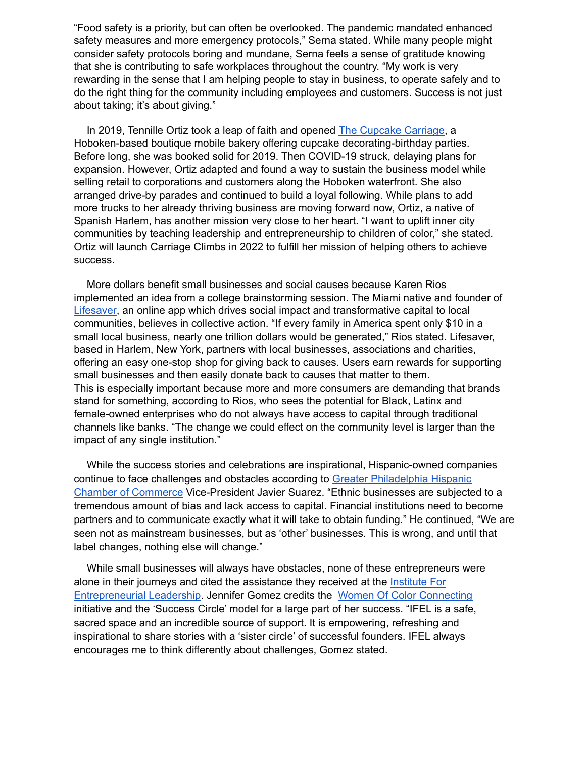"Food safety is a priority, but can often be overlooked. The pandemic mandated enhanced safety measures and more emergency protocols," Serna stated. While many people might consider safety protocols boring and mundane, Serna feels a sense of gratitude knowing that she is contributing to safe workplaces throughout the country. "My work is very rewarding in the sense that I am helping people to stay in business, to operate safely and to do the right thing for the community including employees and customers. Success is not just about taking; it's about giving."

In 2019, Tennille Ortiz took a leap of faith and opened The [Cupcake](http://www.thecupcakecarriage.com/) Carriage, a Hoboken-based boutique mobile bakery offering cupcake decorating-birthday parties. Before long, she was booked solid for 2019. Then COVID-19 struck, delaying plans for expansion. However, Ortiz adapted and found a way to sustain the business model while selling retail to corporations and customers along the Hoboken waterfront. She also arranged drive-by parades and continued to build a loyal following. While plans to add more trucks to her already thriving business are moving forward now, Ortiz, a native of Spanish Harlem, has another mission very close to her heart. "I want to uplift inner city communities by teaching leadership and entrepreneurship to children of color," she stated. Ortiz will launch Carriage Climbs in 2022 to fulfill her mission of helping others to achieve success.

More dollars benefit small businesses and social causes because Karen Rios implemented an idea from a college brainstorming session. The Miami native and founder of [Lifesaver,](http://www.getlifesaver.com/) an online app which drives social impact and transformative capital to local communities, believes in collective action. "If every family in America spent only \$10 in a small local business, nearly one trillion dollars would be generated," Rios stated. Lifesaver, based in Harlem, New York, partners with local businesses, associations and charities, offering an easy one-stop shop for giving back to causes. Users earn rewards for supporting small businesses and then easily donate back to causes that matter to them. This is especially important because more and more consumers are demanding that brands stand for something, according to Rios, who sees the potential for Black, Latinx and female-owned enterprises who do not always have access to capital through traditional channels like banks. "The change we could effect on the community level is larger than the impact of any single institution."

While the success stories and celebrations are inspirational, Hispanic-owned companies continue to face challenges and obstacles according to Greater [Philadelphia](https://www.philahispanicchamber.org/) Hispanic Chamber of [Commerce](https://www.philahispanicchamber.org/) Vice-President Javier Suarez. "Ethnic businesses are subjected to a tremendous amount of bias and lack access to capital. Financial institutions need to become partners and to communicate exactly what it will take to obtain funding." He continued, "We are seen not as mainstream businesses, but as 'other' businesses. This is wrong, and until that label changes, nothing else will change."

While small businesses will always have obstacles, none of these entrepreneurs were alone in their journeys and cited the assistance they received at the [Institute](https://www.weareifel.org/) For [Entrepreneurial](https://www.weareifel.org/) Leadership. Jennifer Gomez credits the Women Of Color [Connecting](https://www.woccon.org/) initiative and the 'Success Circle' model for a large part of her success. "IFEL is a safe, sacred space and an incredible source of support. It is empowering, refreshing and inspirational to share stories with a 'sister circle' of successful founders. IFEL always encourages me to think differently about challenges, Gomez stated.